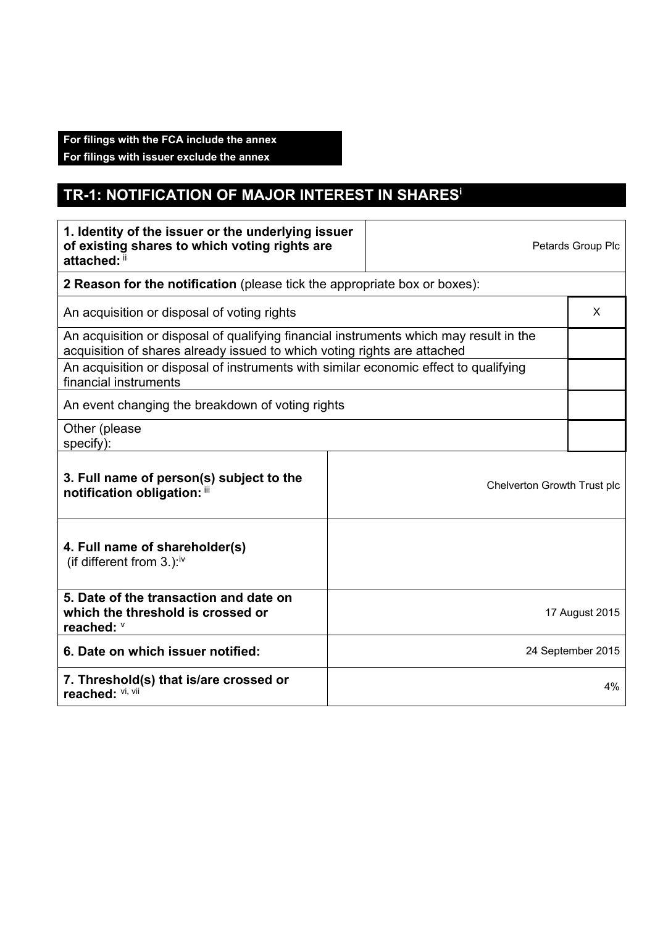## **For filings with the FCA include the annex**

**For filings with issuer exclude the annex** 

## **TR-1: NOTIFICATION OF MAJOR INTEREST IN SHARESi**

| 1. Identity of the issuer or the underlying issuer<br>of existing shares to which voting rights are<br>attached: ii                                                |  | Petards Group Plc |                   |  |
|--------------------------------------------------------------------------------------------------------------------------------------------------------------------|--|-------------------|-------------------|--|
| 2 Reason for the notification (please tick the appropriate box or boxes):                                                                                          |  |                   |                   |  |
| An acquisition or disposal of voting rights                                                                                                                        |  |                   | X                 |  |
| An acquisition or disposal of qualifying financial instruments which may result in the<br>acquisition of shares already issued to which voting rights are attached |  |                   |                   |  |
| An acquisition or disposal of instruments with similar economic effect to qualifying<br>financial instruments                                                      |  |                   |                   |  |
| An event changing the breakdown of voting rights                                                                                                                   |  |                   |                   |  |
| Other (please<br>specify):                                                                                                                                         |  |                   |                   |  |
| 3. Full name of person(s) subject to the<br>Chelverton Growth Trust plc<br>notification obligation: iii                                                            |  |                   |                   |  |
| 4. Full name of shareholder(s)<br>(if different from $3.$ ): <sup>iv</sup>                                                                                         |  |                   |                   |  |
| 5. Date of the transaction and date on<br>which the threshold is crossed or<br>reached: V                                                                          |  |                   | 17 August 2015    |  |
| 6. Date on which issuer notified:                                                                                                                                  |  |                   | 24 September 2015 |  |
| 7. Threshold(s) that is/are crossed or<br>reached: Vi, Vii                                                                                                         |  |                   | 4%                |  |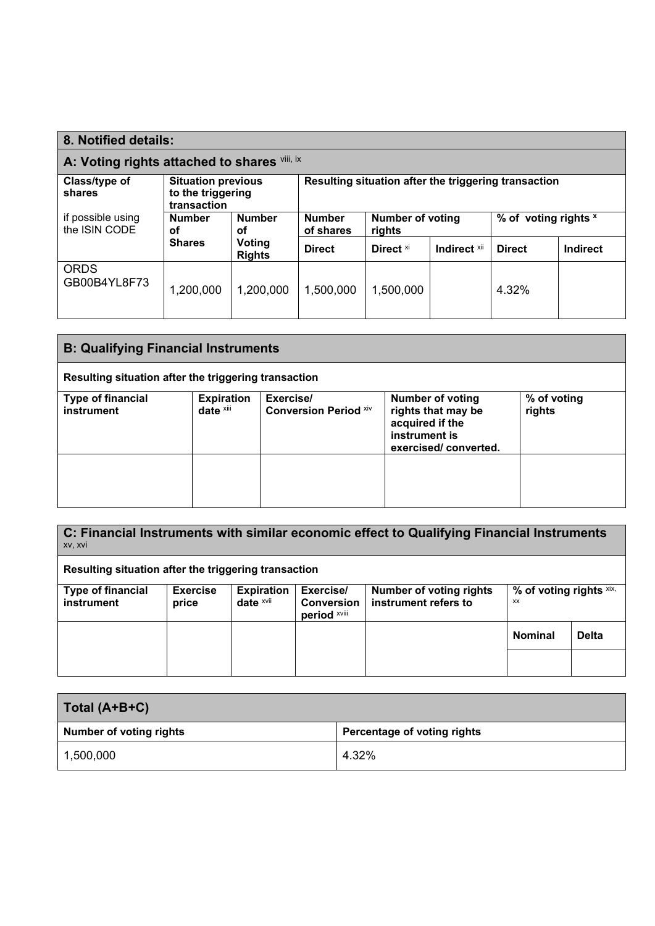| 8. Notified details:                                                                                                                             |                     |                                                   |               |                                   |              |                      |                 |
|--------------------------------------------------------------------------------------------------------------------------------------------------|---------------------|---------------------------------------------------|---------------|-----------------------------------|--------------|----------------------|-----------------|
| A: Voting rights attached to shares Vill, IX                                                                                                     |                     |                                                   |               |                                   |              |                      |                 |
| Resulting situation after the triggering transaction<br><b>Situation previous</b><br>Class/type of<br>to the triggering<br>shares<br>transaction |                     |                                                   |               |                                   |              |                      |                 |
| if possible using<br>the ISIN CODE                                                                                                               | <b>Number</b><br>οf | <b>Number</b><br><b>Number</b><br>of shares<br>οf |               | <b>Number of voting</b><br>rights |              | % of voting rights x |                 |
|                                                                                                                                                  | <b>Shares</b>       | Voting<br><b>Rights</b>                           | <b>Direct</b> | Direct <sup>xi</sup>              | Indirect Xii | <b>Direct</b>        | <b>Indirect</b> |
| <b>ORDS</b><br>GB00B4YL8F73                                                                                                                      | 1,200,000           | 1,200,000                                         | 1,500,000     | 1,500,000                         |              | 4.32%                |                 |

| <b>B: Qualifying Financial Instruments</b>                                                                                                                                                                                                                  |  |  |  |  |  |  |
|-------------------------------------------------------------------------------------------------------------------------------------------------------------------------------------------------------------------------------------------------------------|--|--|--|--|--|--|
| Resulting situation after the triggering transaction                                                                                                                                                                                                        |  |  |  |  |  |  |
| <b>Expiration</b><br>Exercise/<br>% of voting<br><b>Type of financial</b><br><b>Number of voting</b><br>date xiii<br><b>Conversion Period Xiv</b><br>instrument<br>rights that may be<br>rights<br>acquired if the<br>instrument is<br>exercised/converted. |  |  |  |  |  |  |
|                                                                                                                                                                                                                                                             |  |  |  |  |  |  |

| C: Financial Instruments with similar economic effect to Qualifying Financial Instruments<br>XV, XVI |                          |                                           |                                                |                                                        |                               |              |  |
|------------------------------------------------------------------------------------------------------|--------------------------|-------------------------------------------|------------------------------------------------|--------------------------------------------------------|-------------------------------|--------------|--|
| Resulting situation after the triggering transaction                                                 |                          |                                           |                                                |                                                        |                               |              |  |
| <b>Type of financial</b><br>instrument                                                               | <b>Exercise</b><br>price | <b>Expiration</b><br>date <sup>xvii</sup> | Exercise/<br><b>Conversion</b><br>period xviii | <b>Number of voting rights</b><br>instrument refers to | % of voting rights xix,<br>XX |              |  |
|                                                                                                      |                          |                                           |                                                |                                                        | <b>Nominal</b>                | <b>Delta</b> |  |
|                                                                                                      |                          |                                           |                                                |                                                        |                               |              |  |

| Total (A+B+C)                  |                             |  |  |  |
|--------------------------------|-----------------------------|--|--|--|
| <b>Number of voting rights</b> | Percentage of voting rights |  |  |  |
| 1,500,000                      | 4.32%                       |  |  |  |